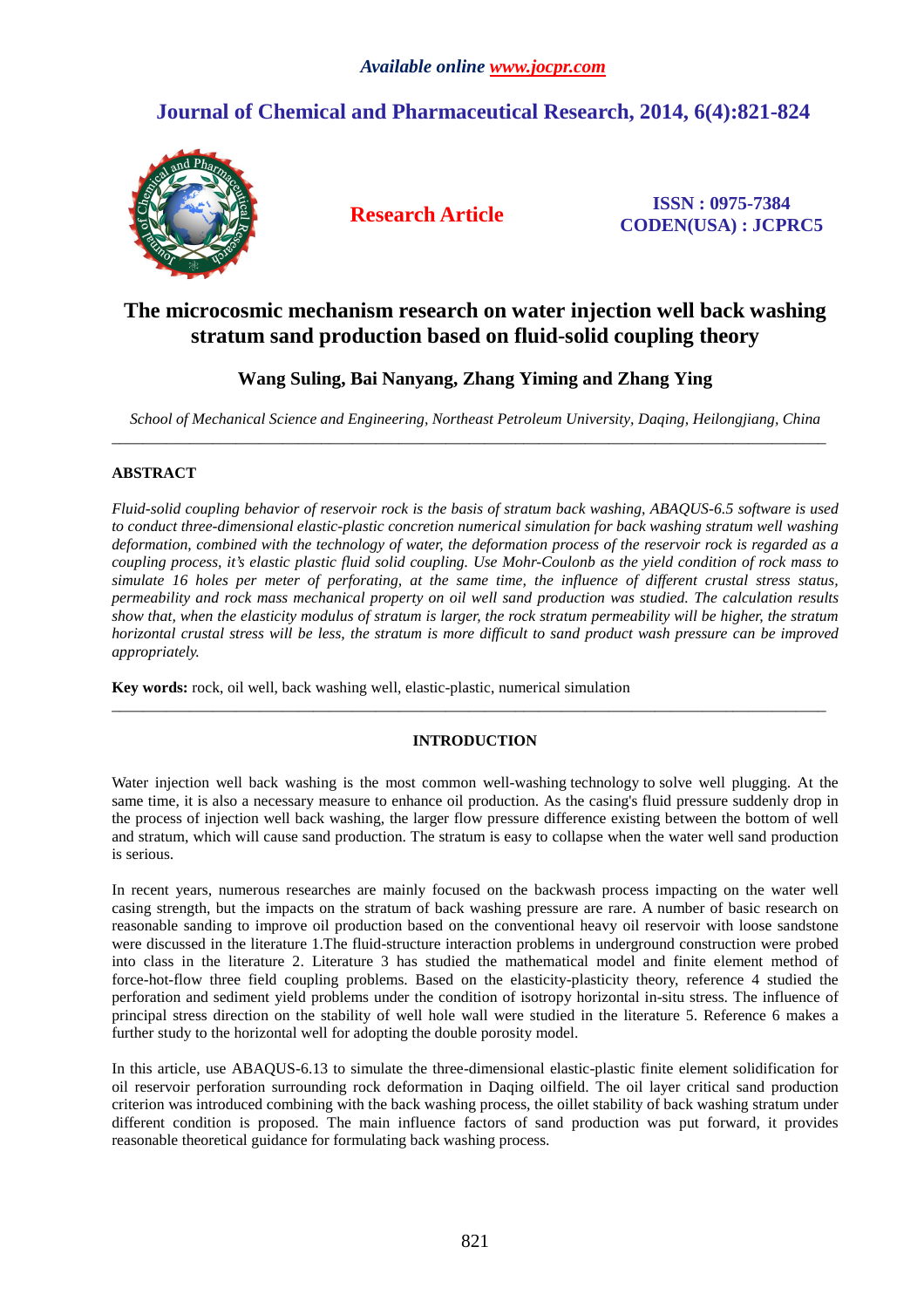# **Journal of Chemical and Pharmaceutical Research, 2014, 6(4):821-824**



**Research Article ISSN : 0975-7384 CODEN(USA) : JCPRC5**

## **The microcosmic mechanism research on water injection well back washing stratum sand production based on fluid-solid coupling theory**

## **Wang Suling, Bai Nanyang, Zhang Yiming and Zhang Ying**

*School of Mechanical Science and Engineering, Northeast Petroleum University, Daqing, Heilongjiang, China*   $\overline{\phantom{a}}$  , and the contribution of the contribution of the contribution of the contribution of the contribution of the contribution of the contribution of the contribution of the contribution of the contribution of the

### **ABSTRACT**

*Fluid-solid coupling behavior of reservoir rock is the basis of stratum back washing, ABAQUS-6.5 software is used*  to conduct three-dimensional elastic-plastic concretion numerical simulation for back washing stratum well washing *deformation, combined with the technology of water, the deformation process of the reservoir rock is regarded as a coupling process, it's elastic plastic fluid solid coupling. Use Mohr-Coulonb as the yield condition of rock mass to simulate 16 holes per meter of perforating, at the same time, the influence of different crustal stress status, permeability and rock mass mechanical property on oil well sand production was studied. The calculation results*  show that, when the elasticity modulus of stratum is larger, the rock stratum permeability will be higher, the stratum *horizontal crustal stress will be less, the stratum is more difficult to sand product wash pressure can be improved appropriately.* 

**Key words:** rock, oil well, back washing well, elastic-plastic, numerical simulation

### **INTRODUCTION**

 $\overline{\phantom{a}}$  , and the contribution of the contribution of the contribution of the contribution of the contribution of the contribution of the contribution of the contribution of the contribution of the contribution of the

Water injection well back washing is the most common well-washing technology to solve well plugging. At the same time, it is also a necessary measure to enhance oil production. As the casing's fluid pressure suddenly drop in the process of injection well back washing, the larger flow pressure difference existing between the bottom of well and stratum, which will cause sand production. The stratum is easy to collapse when the water well sand production is serious.

In recent years, numerous researches are mainly focused on the backwash process impacting on the water well casing strength, but the impacts on the stratum of back washing pressure are rare. A number of basic research on reasonable sanding to improve oil production based on the conventional heavy oil reservoir with loose sandstone were discussed in the literature 1.The fluid-structure interaction problems in underground construction were probed into class in the literature 2. Literature 3 has studied the mathematical model and finite element method of force-hot-flow three field coupling problems. Based on the elasticity-plasticity theory, reference 4 studied the perforation and sediment yield problems under the condition of isotropy horizontal in-situ stress. The influence of principal stress direction on the stability of well hole wall were studied in the literature 5. Reference 6 makes a further study to the horizontal well for adopting the double porosity model.

In this article, use ABAQUS-6.13 to simulate the three-dimensional elastic-plastic finite element solidification for oil reservoir perforation surrounding rock deformation in Daqing oilfield. The oil layer critical sand production criterion was introduced combining with the back washing process, the oillet stability of back washing stratum under different condition is proposed. The main influence factors of sand production was put forward, it provides reasonable theoretical guidance for formulating back washing process.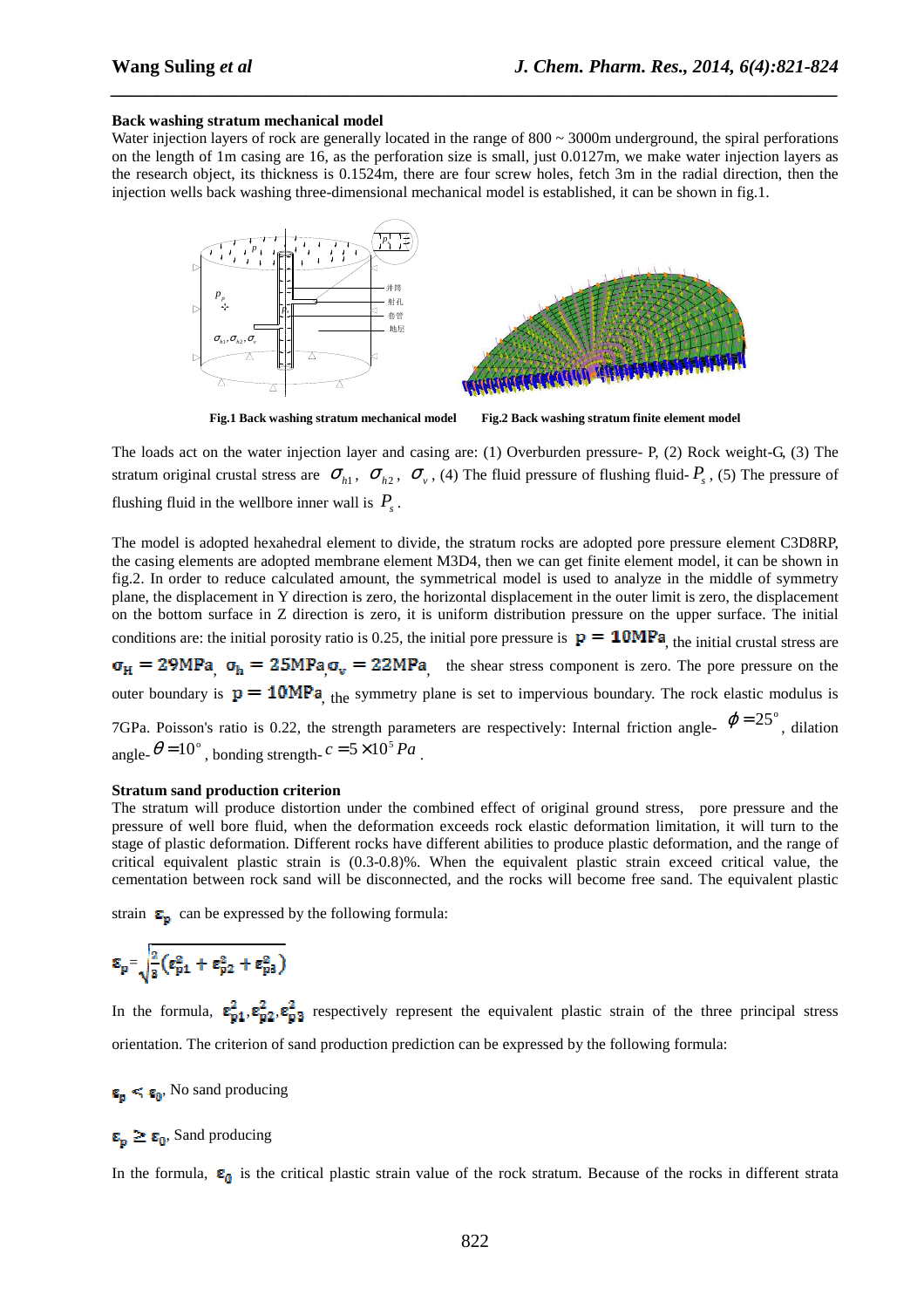#### **Back washing stratum mechanical model**

Water injection layers of rock are generally located in the range of  $800 \sim 3000$ m underground, the spiral perforations on the length of 1m casing are 16, as the perforation size is small, just 0.0127m, we make water injection layers as the research object, its thickness is 0.1524m, there are four screw holes, fetch 3m in the radial direction, then the injection wells back washing three-dimensional mechanical model is established, it can be shown in fig.1.

*\_\_\_\_\_\_\_\_\_\_\_\_\_\_\_\_\_\_\_\_\_\_\_\_\_\_\_\_\_\_\_\_\_\_\_\_\_\_\_\_\_\_\_\_\_\_\_\_\_\_\_\_\_\_\_\_\_\_\_\_\_\_\_\_\_\_\_\_\_\_\_\_\_\_\_\_\_\_*



**Fig.1 Back washing stratum mechanical model Fig.2 Back washing stratum finite element model** 

The loads act on the water injection layer and casing are: (1) Overburden pressure- P, (2) Rock weight-G, (3) The stratum original crustal stress are  $\sigma_{h1}$ ,  $\sigma_{h2}$ ,  $\sigma_{v}$ , (4) The fluid pressure of flushing fluid- $P_s$ , (5) The pressure of flushing fluid in the wellbore inner wall is  $P_s$ .

The model is adopted hexahedral element to divide, the stratum rocks are adopted pore pressure element C3D8RP, the casing elements are adopted membrane element M3D4, then we can get finite element model, it can be shown in fig.2. In order to reduce calculated amount, the symmetrical model is used to analyze in the middle of symmetry plane, the displacement in Y direction is zero, the horizontal displacement in the outer limit is zero, the displacement on the bottom surface in Z direction is zero, it is uniform distribution pressure on the upper surface. The initial conditions are: the initial porosity ratio is 0.25, the initial pore pressure is  $p = 10MPa$ , the initial crustal stress are  $t_{\rm h} = 25MPa_{\rm g} = 22MPa_{\rm g}$  the shear stress component is zero. The pore pressure on the outer boundary is  $p = 10MPa$ , the symmetry plane is set to impervious boundary. The rock elastic modulus is 7GPa. Poisson's ratio is 0.22, the strength parameters are respectively: Internal friction angle-  $\varphi = 25^{\circ}$ , dilation angle- $\theta = 10^\circ$ , bonding strength- $c = 5 \times 10^5 Pa$ .

#### **Stratum sand production criterion**

The stratum will produce distortion under the combined effect of original ground stress, pore pressure and the pressure of well bore fluid, when the deformation exceeds rock elastic deformation limitation, it will turn to the stage of plastic deformation. Different rocks have different abilities to produce plastic deformation, and the range of critical equivalent plastic strain is (0.3-0.8)%. When the equivalent plastic strain exceed critical value, the cementation between rock sand will be disconnected, and the rocks will become free sand. The equivalent plastic

strain  $\mathbf{\Sigma}_{\mathbf{p}}$  can be expressed by the following formula:

$$
\epsilon_p = \sqrt{\frac{2}{3}(\epsilon_{p1}^2 + \epsilon_{p2}^2 + \epsilon_{p3}^2)}
$$

In the formula,  $\epsilon_{p1}^2, \epsilon_{p2}^2, \epsilon_{p3}^2$  respectively represent the equivalent plastic strain of the three principal stress orientation. The criterion of sand production prediction can be expressed by the following formula:

 $\epsilon_{\rm p} < \epsilon_{\rm 0}$ , No sand producing

 $\epsilon_{\rm n} \geq \epsilon_{\rm 0}$ , Sand producing

In the formula,  $\epsilon_0$  is the critical plastic strain value of the rock stratum. Because of the rocks in different strata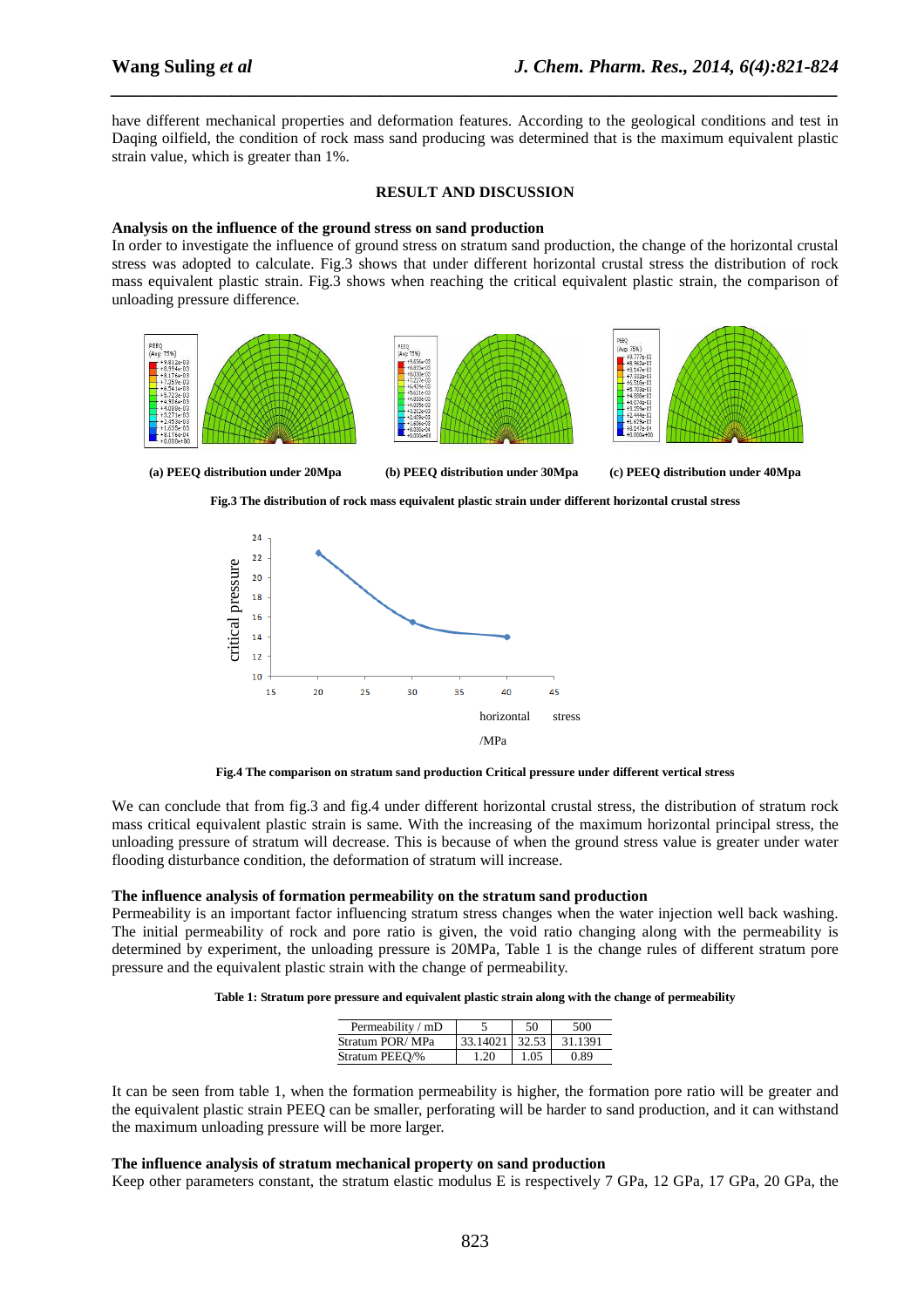have different mechanical properties and deformation features. According to the geological conditions and test in Daqing oilfield, the condition of rock mass sand producing was determined that is the maximum equivalent plastic strain value, which is greater than 1%.

*\_\_\_\_\_\_\_\_\_\_\_\_\_\_\_\_\_\_\_\_\_\_\_\_\_\_\_\_\_\_\_\_\_\_\_\_\_\_\_\_\_\_\_\_\_\_\_\_\_\_\_\_\_\_\_\_\_\_\_\_\_\_\_\_\_\_\_\_\_\_\_\_\_\_\_\_\_\_*

#### **RESULT AND DISCUSSION**

#### **Analysis on the influence of the ground stress on sand production**

In order to investigate the influence of ground stress on stratum sand production, the change of the horizontal crustal stress was adopted to calculate. Fig.3 shows that under different horizontal crustal stress the distribution of rock mass equivalent plastic strain. Fig.3 shows when reaching the critical equivalent plastic strain, the comparison of unloading pressure difference.



**(a) PEEQ distribution under 20Mpa (b) PEEQ distribution under 30Mpa (c) PEEQ distribution under 40Mpa** 



**Fig.3 The distribution of rock mass equivalent plastic strain under different horizontal crustal stress** 



**Fig.4 The comparison on stratum sand production Critical pressure under different vertical stress** 

We can conclude that from fig.3 and fig.4 under different horizontal crustal stress, the distribution of stratum rock mass critical equivalent plastic strain is same. With the increasing of the maximum horizontal principal stress, the unloading pressure of stratum will decrease. This is because of when the ground stress value is greater under water flooding disturbance condition, the deformation of stratum will increase.

#### **The influence analysis of formation permeability on the stratum sand production**

Permeability is an important factor influencing stratum stress changes when the water injection well back washing. The initial permeability of rock and pore ratio is given, the void ratio changing along with the permeability is determined by experiment, the unloading pressure is 20MPa, Table 1 is the change rules of different stratum pore pressure and the equivalent plastic strain with the change of permeability.

|  |  | Table 1: Stratum pore pressure and equivalent plastic strain along with the change of permeability |
|--|--|----------------------------------------------------------------------------------------------------|
|  |  |                                                                                                    |

| Permeability / mD |                  | 50   | 500.    |
|-------------------|------------------|------|---------|
| Stratum POR/MPa   | $33.14021$ 32.53 |      | 31.1391 |
| Stratum PEEO/%    | 1.20             | 1.05 | 0.89    |

It can be seen from table 1, when the formation permeability is higher, the formation pore ratio will be greater and the equivalent plastic strain PEEQ can be smaller, perforating will be harder to sand production, and it can withstand the maximum unloading pressure will be more larger.

#### **The influence analysis of stratum mechanical property on sand production**

Keep other parameters constant, the stratum elastic modulus E is respectively 7 GPa, 12 GPa, 17 GPa, 20 GPa, the